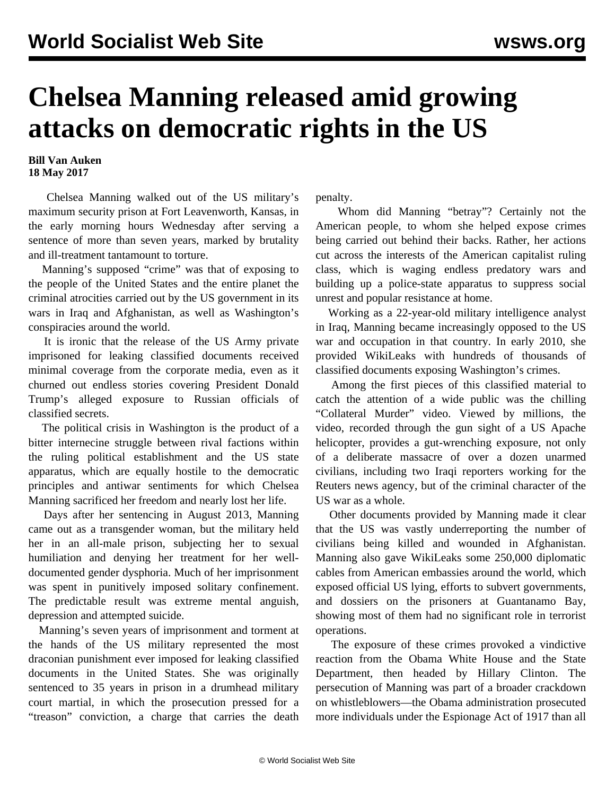## **Chelsea Manning released amid growing attacks on democratic rights in the US**

## **Bill Van Auken 18 May 2017**

 Chelsea Manning walked out of the US military's maximum security prison at Fort Leavenworth, Kansas, in the early morning hours Wednesday after serving a sentence of more than seven years, marked by brutality and ill-treatment tantamount to torture.

 Manning's supposed "crime" was that of exposing to the people of the United States and the entire planet the criminal atrocities carried out by the US government in its wars in Iraq and Afghanistan, as well as Washington's conspiracies around the world.

 It is ironic that the release of the US Army private imprisoned for leaking classified documents received minimal coverage from the corporate media, even as it churned out endless stories covering President Donald Trump's alleged exposure to Russian officials of classified secrets.

 The political crisis in Washington is the product of a bitter internecine struggle between rival factions within the ruling political establishment and the US state apparatus, which are equally hostile to the democratic principles and antiwar sentiments for which Chelsea Manning sacrificed her freedom and nearly lost her life.

 Days after her sentencing in August 2013, Manning came out as a transgender woman, but the military held her in an all-male prison, subjecting her to sexual humiliation and denying her treatment for her welldocumented gender dysphoria. Much of her imprisonment was spent in punitively imposed solitary confinement. The predictable result was extreme mental anguish, depression and attempted suicide.

 Manning's seven years of imprisonment and torment at the hands of the US military represented the most draconian punishment ever imposed for leaking classified documents in the United States. She was originally sentenced to 35 years in prison in a drumhead military court martial, in which the prosecution pressed for a "treason" conviction, a charge that carries the death

penalty.

 Whom did Manning "betray"? Certainly not the American people, to whom she helped expose crimes being carried out behind their backs. Rather, her actions cut across the interests of the American capitalist ruling class, which is waging endless predatory wars and building up a police-state apparatus to suppress social unrest and popular resistance at home.

 Working as a 22-year-old military intelligence analyst in Iraq, Manning became increasingly opposed to the US war and occupation in that country. In early 2010, she provided WikiLeaks with hundreds of thousands of classified documents exposing Washington's crimes.

 Among the first pieces of this classified material to catch the attention of a wide public was the chilling "Collateral Murder" video. Viewed by millions, the video, recorded through the gun sight of a US Apache helicopter, provides a gut-wrenching exposure, not only of a deliberate massacre of over a dozen unarmed civilians, including two Iraqi reporters working for the Reuters news agency, but of the criminal character of the US war as a whole.

 Other documents provided by Manning made it clear that the US was vastly underreporting the number of civilians being killed and wounded in Afghanistan. Manning also gave WikiLeaks some 250,000 diplomatic cables from American embassies around the world, which exposed official US lying, efforts to subvert governments, and dossiers on the prisoners at Guantanamo Bay, showing most of them had no significant role in terrorist operations.

 The exposure of these crimes provoked a vindictive reaction from the Obama White House and the State Department, then headed by Hillary Clinton. The persecution of Manning was part of a broader crackdown on whistleblowers—the Obama administration prosecuted more individuals under the Espionage Act of 1917 than all